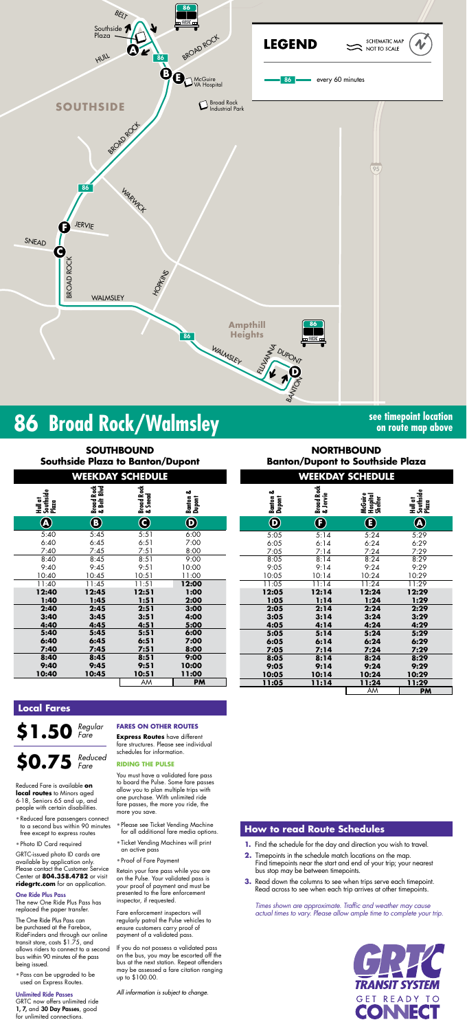

# **SOUTHBOUND Southside Plaza**

**NORTHBOUND hside Plaza** 

# **86 Broad Rock/Walmsley see timepoint location**

**on route map above**

**Hull at Southside Plaza**

| Hull at<br>Southside<br>Plaza | Broad Rock<br>& Belt Blvd | Broad Rock<br>& Snead | Banton &<br>Dupont  |
|-------------------------------|---------------------------|-----------------------|---------------------|
| A                             | B                         | C                     | $\boldsymbol{\Phi}$ |
| 5:40                          | 5:45                      | 5:51                  | 6:00                |
| 6:40                          | 6:45                      | 6:51                  | 7:00                |
| 7:40                          | 7:45                      | 7:51                  | 8:00                |
| 8:40                          | 8:45                      | 8:51                  | 9:00                |
| 9:40                          | 9:45                      | 9:51                  | 10:00               |
| 10:40                         | 10:45                     | 10:51                 | 11:00               |
| 11:40                         | 11:45                     | 11:51                 | 12:00               |
| 12:40                         | 12:45                     | 12:51                 | 1:00                |
| 1:40                          | 1:45                      | 1:51                  | 2:00                |
| 2:40                          | 2:45                      | 2:51                  | 3:00                |
| 3:40                          | 3:45                      | 3:51                  | 4:00                |
| 4:40                          | 4:45                      | 4:51                  | 5:00                |
| 5:40                          | 5:45                      | 5:51                  | 6:00                |
| 6:40                          | 6:45                      | 6:51                  | 7:00                |
| 7:40                          | 7:45                      | 7:51                  | 8:00                |
| 8:40                          | 8:45                      | 8:51                  | 9:00                |
| 9:40                          | 9:45                      | 9:51                  | 10:00               |
| 10:40                         | 10:45                     | 10:51                 | 11:00               |
|                               |                           | <b>AAA</b>            | <b>DM</b>           |

| Southside Plaza to Banton/Dupont |                           |                         |                       | <b>Banton/Dupont to Southside Plaza</b> |                        |                                |                               |  |  |
|----------------------------------|---------------------------|-------------------------|-----------------------|-----------------------------------------|------------------------|--------------------------------|-------------------------------|--|--|
|                                  |                           | <b>WEEKDAY SCHEDULE</b> |                       |                                         |                        | <b>WEEKDAY SCHEDULE</b>        |                               |  |  |
| Southside<br>Plaza               | Broad Rock<br>& Belt Blvd | Broad Rock<br>& Snead   | ಹ<br>Banton<br>Dupont | ఱ<br>Banton<br>Dupont                   | Broad Rock<br>& Jervie | McGuire<br>Hospital<br>Shelter | Hull at<br>Southside<br>Plaza |  |  |
| $\overline{\mathbf{A}}$          | $\bf \bm \Theta$          | $\mathbf G$             | $\odot$               | $\boldsymbol{\Theta}$                   | $\bf{(}$ $\bf{)}$      | $\bf G$                        |                               |  |  |
| 5:40                             | 5:45                      | 5:51                    | 6:00                  | 5:05                                    | 5:14                   | 5:24                           | 5:29                          |  |  |
| 5:40                             | 6:45                      | 6:51                    | 7:00                  | 6:05                                    | 6:14                   | 6:24                           | 6:29                          |  |  |
| 7:40                             | 7:45                      | 7:51                    | 8:00                  | 7:05                                    | 7:14                   | 7:24                           | 7:29                          |  |  |
| 3:40                             | 8:45                      | 8:51                    | 9:00                  | 8:05                                    | 8:14                   | 8:24                           | 8:29                          |  |  |
| 9:40                             | 9:45                      | 9:51                    | 10:00                 | 9:05                                    | 9:14                   | 9:24                           | 9:29                          |  |  |
| 0:40                             | 10:45                     | 10:51                   | 11:00                 | 10:05                                   | 10:14                  | 10:24                          | 10:29                         |  |  |
| :40                              | 11:45                     | 11:51                   | 12:00                 | 11:05                                   | 11:14                  | 11:24                          | 11:29                         |  |  |
| 2:40                             | 12:45                     | 12:51                   | 1:00                  | 12:05                                   | 12:14                  | 12:24                          | 12:29                         |  |  |
| :40                              | 1:45                      | 1:51                    | 2:00                  | 1:05                                    | 1:14                   | 1:24                           | 1:29                          |  |  |
| 2:40                             | 2:45                      | 2:51                    | 3:00                  | 2:05                                    | 2:14                   | 2:24                           | 2:29                          |  |  |
| 3:40                             | 3:45                      | 3:51                    | 4:00                  | 3:05                                    | 3:14                   | 3:24                           | 3:29                          |  |  |
| 1:40                             | 4:45                      | 4:51                    | 5:00                  | 4:05                                    | 4:14                   | 4:24                           | 4:29                          |  |  |
| 5:40                             | 5:45                      | 5:51                    | 6:00                  | 5:05                                    | 5:14                   | 5:24                           | 5:29                          |  |  |
| 5:40                             | 6:45                      | 6:51                    | 7:00                  | 6:05                                    | 6:14                   | 6:24                           | 6:29                          |  |  |
| 7:40                             | 7:45                      | 7:51                    | 8:00                  | 7:05                                    | 7:14                   | 7:24                           | 7:29                          |  |  |
| 3:40                             | 8:45                      | 8:51                    | 9:00                  | 8:05                                    | 8:14                   | 8:24                           | 8:29                          |  |  |
| 9:40                             | 9:45                      | 9:51                    | 10:00                 | 9:05                                    | 9:14                   | 9:24                           | 9:29                          |  |  |
| ):40                             | 10:45                     | 10:51                   | 11:00                 | 10:05                                   | 10:14                  | 10:24                          | 10:29                         |  |  |
|                                  |                           | AM                      | <b>PM</b>             | 11:05                                   | 11:14                  | 11:24                          | 11:29                         |  |  |

*Times shown are approximate. Traffic and weather may cause actual times to vary. Please allow ample time to complete your trip.*



AM **PM 11:05 11:14 11:24 11:29**

#### **How to read Route Schedules**

- **1.** Find the schedule for the day and direction you wish to travel.
- **2.** Timepoints in the schedule match locations on the map. Find timepoints near the start and end of your trip; your nearest bus stop may be between timepoints.
- **3.** Read down the columns to see when trips serve each timepoint. Read across to see when each trip arrives at other timepoints.

#### **Local Fares**

#### **\$1.50** *Regular Fare*

Reduced Fare is available **on local routes** to Minors aged 6-18, Seniors 65 and up, and people with certain disabilities.

- Reduced fare passengers connect to a second bus within 90 minutes free except to express routes
- Photo ID Card required

GRTC-issued photo ID cards are available by application only. Please contact the Customer Service Center at **804.358.4782** or visit **ridegrtc.com** for an application.

#### One Ride Plus Pass

#### **\$0.75** *Reduced Fare*

The new One Ride Plus Pass has replaced the paper transfer.

The One Ride Plus Pass can be purchased at the Farebox, RideFinders and through our online transit store, costs \$1.75, and allows riders to connect to a second bus within 90 minutes of the pass being issued.

• Pass can be upgraded to be used on Express Routes.

#### Unlimited Ride Passes

GRTC now offers unlimited ride 1, 7, and 30 Day Passes, good for unlimited connections.

#### **FARES ON OTHER ROUTES**

**Express Routes** have different fare structures. Please see individual schedules for information.

#### **RIDING THE PULSE**

You must have a validated fare pass to board the Pulse. Some fare passes allow you to plan multiple trips with one purchase. With unlimited ride fare passes, the more you ride, the more you save.

- Please see Ticket Vending Machine for all additional fare media options.
- Ticket Vending Machines will print an active pass
- Proof of Fare Payment

Retain your fare pass while you are on the Pulse. Your validated pass is your proof of payment and must be presented to the fare enforcement inspector, if requested.

Fare enforcement inspectors will regularly patrol the Pulse vehicles to ensure customers carry proof of payment of a validated pass.

If you do not possess a validated pass on the bus, you may be escorted off the bus at the next station. Repeat offenders may be assessed a fare citation ranging up to \$100.00.

*All information is subject to change.*